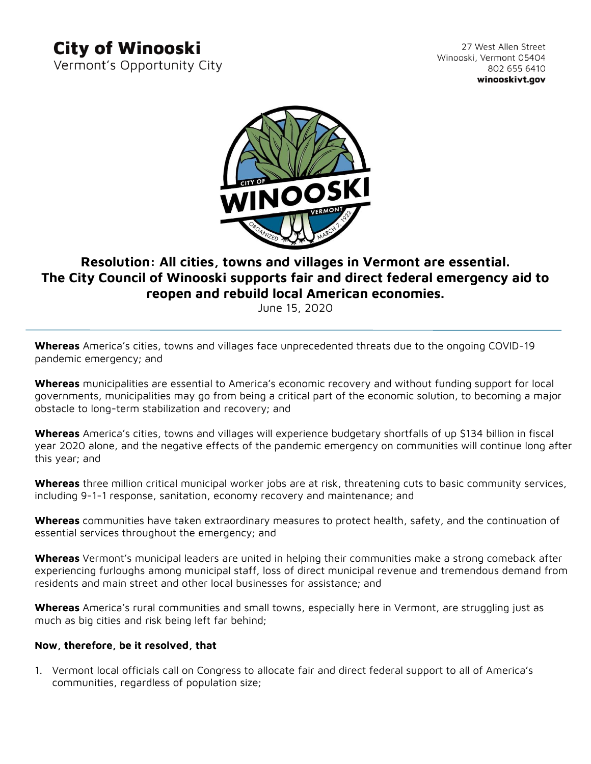## **City of Winooski**

Vermont's Opportunity City

27 West Allen Street Winooski, Vermont 05404 802 655 6410 winooskivt.gov



## **Resolution: All cities, towns and villages in Vermont are essential. The City Council of Winooski supports fair and direct federal emergency aid to reopen and rebuild local American economies.**

June 15, 2020

**Whereas** America's cities, towns and villages face unprecedented threats due to the ongoing COVID-19 pandemic emergency; and

**Whereas** municipalities are essential to America's economic recovery and without funding support for local governments, municipalities may go from being a critical part of the economic solution, to becoming a major obstacle to long-term stabilization and recovery; and

**Whereas** America's cities, towns and villages will experience budgetary shortfalls of up \$134 billion in fiscal year 2020 alone, and the negative effects of the pandemic emergency on communities will continue long after this year; and

**Whereas** three million critical municipal worker jobs are at risk, threatening cuts to basic community services, including 9-1-1 response, sanitation, economy recovery and maintenance; and

**Whereas** communities have taken extraordinary measures to protect health, safety, and the continuation of essential services throughout the emergency; and

**Whereas** Vermont's municipal leaders are united in helping their communities make a strong comeback after experiencing furloughs among municipal staff, loss of direct municipal revenue and tremendous demand from residents and main street and other local businesses for assistance; and

**Whereas** America's rural communities and small towns, especially here in Vermont, are struggling just as much as big cities and risk being left far behind;

## **Now, therefore, be it resolved, that**

1. Vermont local officials call on Congress to allocate fair and direct federal support to all of America's communities, regardless of population size;